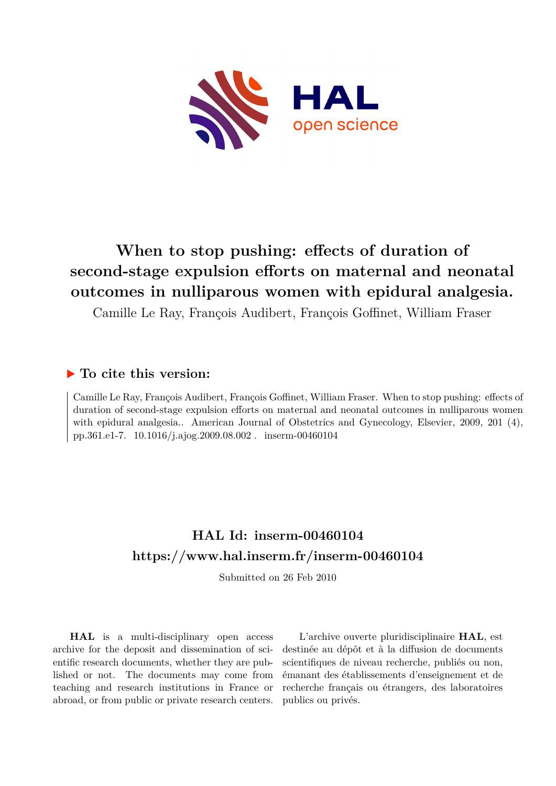

# **When to stop pushing: effects of duration of second-stage expulsion efforts on maternal and neonatal outcomes in nulliparous women with epidural analgesia.**

Camille Le Ray, François Audibert, François Goffinet, William Fraser

## **To cite this version:**

Camille Le Ray, François Audibert, François Goffinet, William Fraser. When to stop pushing: effects of duration of second-stage expulsion efforts on maternal and neonatal outcomes in nulliparous women with epidural analgesia.. American Journal of Obstetrics and Gynecology, Elsevier, 2009, 201 (4), pp.361.e1-7. 10.1016/j.ajog.2009.08.002. inserm-00460104

## **HAL Id: inserm-00460104 <https://www.hal.inserm.fr/inserm-00460104>**

Submitted on 26 Feb 2010

**HAL** is a multi-disciplinary open access archive for the deposit and dissemination of scientific research documents, whether they are published or not. The documents may come from teaching and research institutions in France or abroad, or from public or private research centers.

L'archive ouverte pluridisciplinaire **HAL**, est destinée au dépôt et à la diffusion de documents scientifiques de niveau recherche, publiés ou non, émanant des établissements d'enseignement et de recherche français ou étrangers, des laboratoires publics ou privés.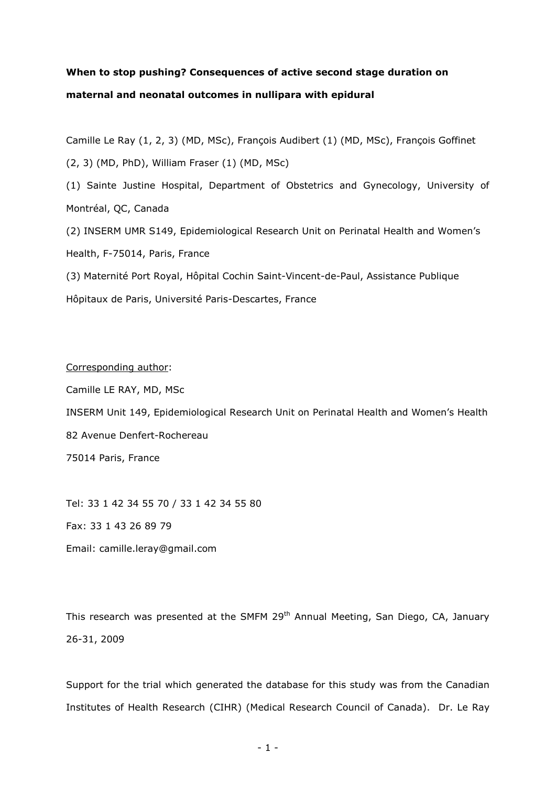## **When to stop pushing? Consequences of active second stage duration on maternal and neonatal outcomes in nullipara with epidural**

Camille Le Ray (1, 2, 3) (MD, MSc), François Audibert (1) (MD, MSc), François Goffinet

(2, 3) (MD, PhD), William Fraser (1) (MD, MSc)

(1) Sainte Justine Hospital, Department of Obstetrics and Gynecology, University of Montréal, QC, Canada

(2) INSERM UMR S149, Epidemiological Research Unit on Perinatal Health and Women"s Health, F-75014, Paris, France

(3) Maternité Port Royal, Hôpital Cochin Saint-Vincent-de-Paul, Assistance Publique Hôpitaux de Paris, Université Paris-Descartes, France

### Corresponding author:

Camille LE RAY, MD, MSc

INSERM Unit 149, Epidemiological Research Unit on Perinatal Health and Women"s Health 82 Avenue Denfert-Rochereau

75014 Paris, France

Tel: 33 1 42 34 55 70 / 33 1 42 34 55 80

Fax: 33 1 43 26 89 79

Email: camille.leray@gmail.com

This research was presented at the SMFM 29<sup>th</sup> Annual Meeting, San Diego, CA, January 26-31, 2009

Support for the trial which generated the database for this study was from the Canadian Institutes of Health Research (CIHR) (Medical Research Council of Canada). Dr. Le Ray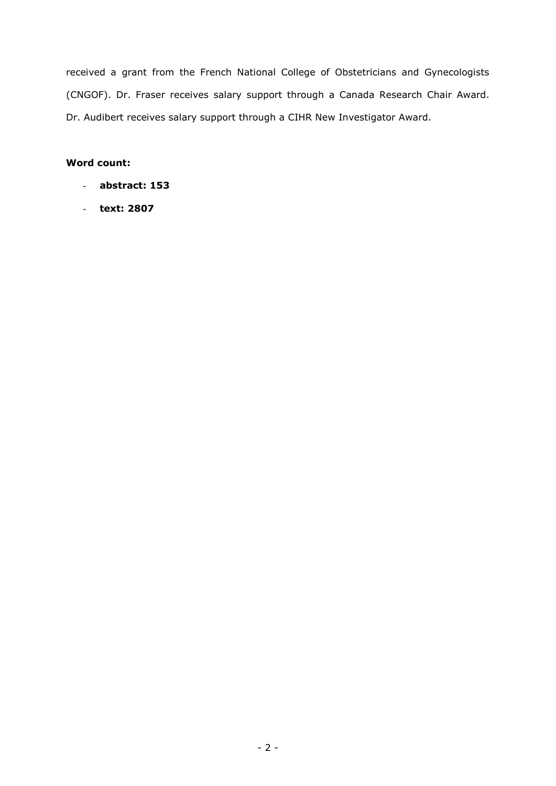received a grant from the French National College of Obstetricians and Gynecologists (CNGOF). Dr. Fraser receives salary support through a Canada Research Chair Award. Dr. Audibert receives salary support through a CIHR New Investigator Award.

## **Word count:**

- **abstract: 153**
- **text: 2807**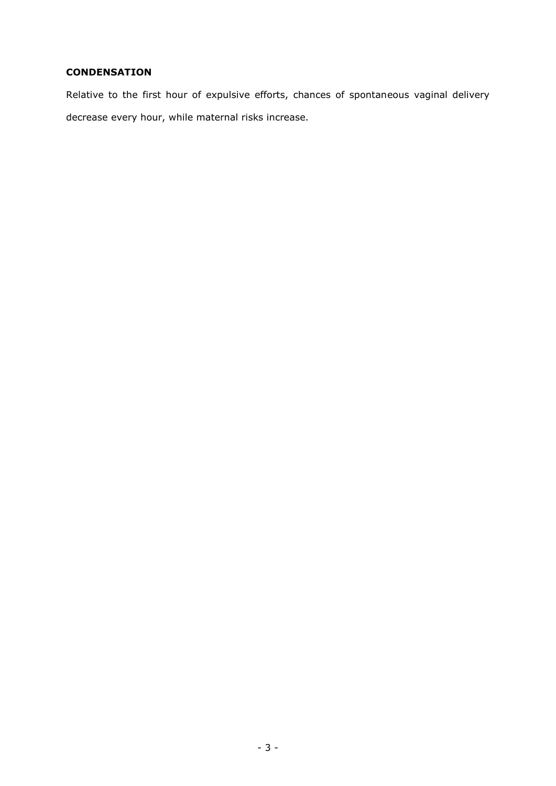## **CONDENSATION**

Relative to the first hour of expulsive efforts, chances of spontaneous vaginal delivery decrease every hour, while maternal risks increase.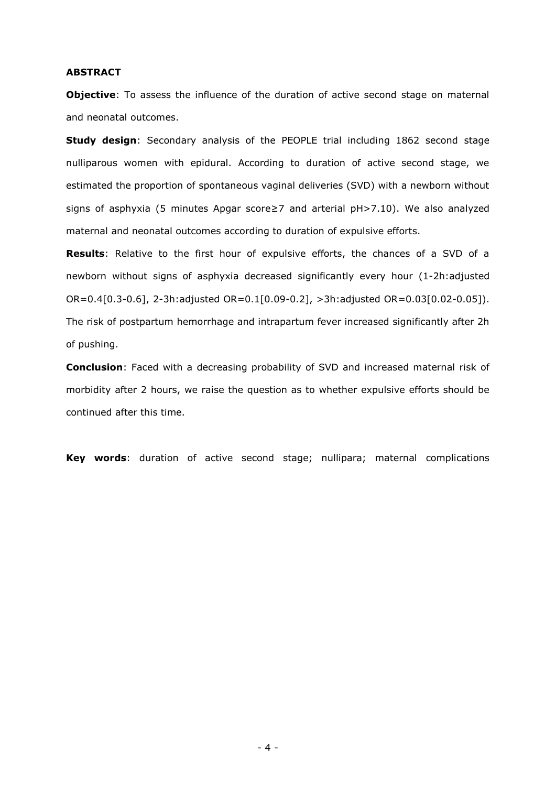#### **ABSTRACT**

**Objective**: To assess the influence of the duration of active second stage on maternal and neonatal outcomes.

**Study design:** Secondary analysis of the PEOPLE trial including 1862 second stage nulliparous women with epidural. According to duration of active second stage, we estimated the proportion of spontaneous vaginal deliveries (SVD) with a newborn without signs of asphyxia (5 minutes Apgar score≥7 and arterial pH>7.10). We also analyzed maternal and neonatal outcomes according to duration of expulsive efforts.

**Results**: Relative to the first hour of expulsive efforts, the chances of a SVD of a newborn without signs of asphyxia decreased significantly every hour (1-2h:adjusted OR=0.4[0.3-0.6], 2-3h:adjusted OR=0.1[0.09-0.2], >3h:adjusted OR=0.03[0.02-0.05]). The risk of postpartum hemorrhage and intrapartum fever increased significantly after 2h of pushing.

**Conclusion**: Faced with a decreasing probability of SVD and increased maternal risk of morbidity after 2 hours, we raise the question as to whether expulsive efforts should be continued after this time.

**Key words**: duration of active second stage; nullipara; maternal complications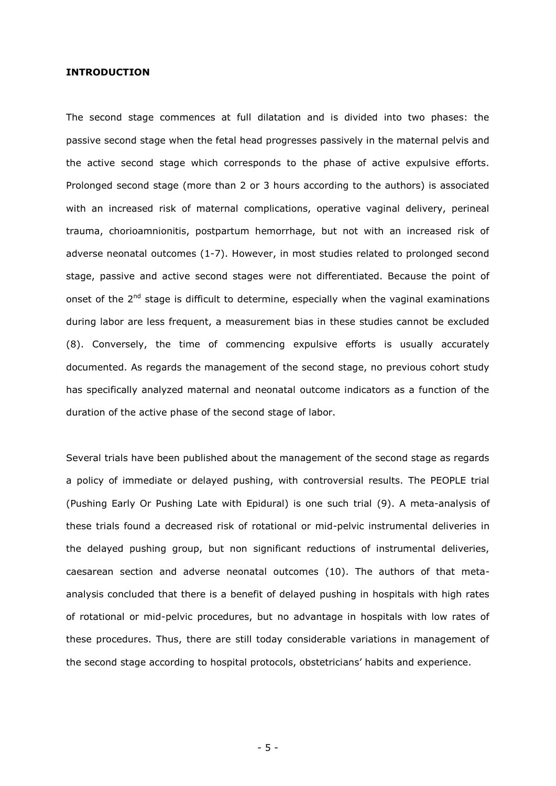#### **INTRODUCTION**

The second stage commences at full dilatation and is divided into two phases: the passive second stage when the fetal head progresses passively in the maternal pelvis and the active second stage which corresponds to the phase of active expulsive efforts. Prolonged second stage (more than 2 or 3 hours according to the authors) is associated with an increased risk of maternal complications, operative vaginal delivery, perineal trauma, chorioamnionitis, postpartum hemorrhage, but not with an increased risk of adverse neonatal outcomes (1-7). However, in most studies related to prolonged second stage, passive and active second stages were not differentiated. Because the point of onset of the 2<sup>nd</sup> stage is difficult to determine, especially when the vaginal examinations during labor are less frequent, a measurement bias in these studies cannot be excluded (8). Conversely, the time of commencing expulsive efforts is usually accurately documented. As regards the management of the second stage, no previous cohort study has specifically analyzed maternal and neonatal outcome indicators as a function of the duration of the active phase of the second stage of labor.

Several trials have been published about the management of the second stage as regards a policy of immediate or delayed pushing, with controversial results. The PEOPLE trial (Pushing Early Or Pushing Late with Epidural) is one such trial (9). A meta-analysis of these trials found a decreased risk of rotational or mid-pelvic instrumental deliveries in the delayed pushing group, but non significant reductions of instrumental deliveries, caesarean section and adverse neonatal outcomes (10). The authors of that metaanalysis concluded that there is a benefit of delayed pushing in hospitals with high rates of rotational or mid-pelvic procedures, but no advantage in hospitals with low rates of these procedures. Thus, there are still today considerable variations in management of the second stage according to hospital protocols, obstetricians' habits and experience.

- 5 -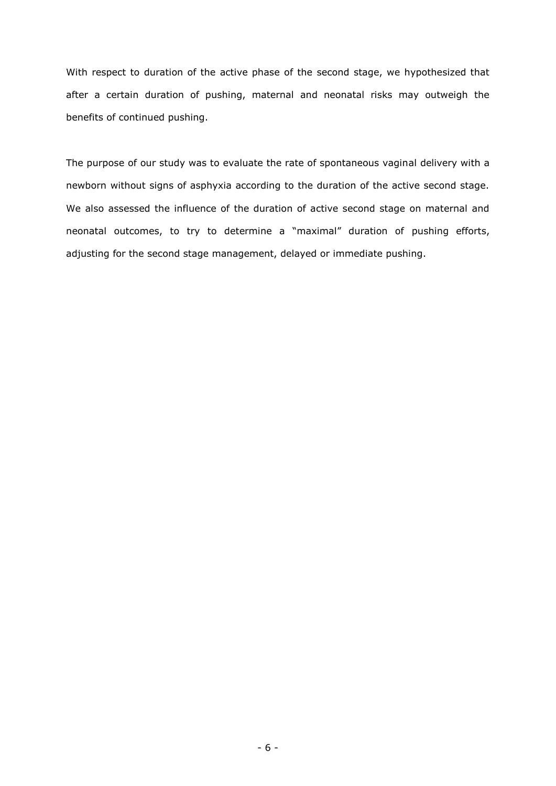With respect to duration of the active phase of the second stage, we hypothesized that after a certain duration of pushing, maternal and neonatal risks may outweigh the benefits of continued pushing.

The purpose of our study was to evaluate the rate of spontaneous vaginal delivery with a newborn without signs of asphyxia according to the duration of the active second stage. We also assessed the influence of the duration of active second stage on maternal and neonatal outcomes, to try to determine a "maximal" duration of pushing efforts, adjusting for the second stage management, delayed or immediate pushing.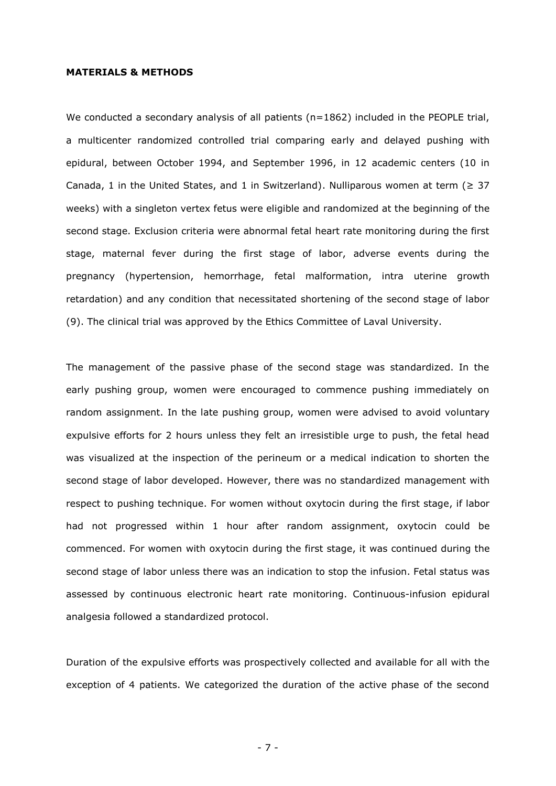#### **MATERIALS & METHODS**

We conducted a secondary analysis of all patients ( $n=1862$ ) included in the PEOPLE trial, a multicenter randomized controlled trial comparing early and delayed pushing with epidural, between October 1994, and September 1996, in 12 academic centers (10 in Canada, 1 in the United States, and 1 in Switzerland). Nulliparous women at term ( $\geq 37$ weeks) with a singleton vertex fetus were eligible and randomized at the beginning of the second stage. Exclusion criteria were abnormal fetal heart rate monitoring during the first stage, maternal fever during the first stage of labor, adverse events during the pregnancy (hypertension, hemorrhage, fetal malformation, intra uterine growth retardation) and any condition that necessitated shortening of the second stage of labor (9). The clinical trial was approved by the Ethics Committee of Laval University.

The management of the passive phase of the second stage was standardized. In the early pushing group, women were encouraged to commence pushing immediately on random assignment. In the late pushing group, women were advised to avoid voluntary expulsive efforts for 2 hours unless they felt an irresistible urge to push, the fetal head was visualized at the inspection of the perineum or a medical indication to shorten the second stage of labor developed. However, there was no standardized management with respect to pushing technique. For women without oxytocin during the first stage, if labor had not progressed within 1 hour after random assignment, oxytocin could be commenced. For women with oxytocin during the first stage, it was continued during the second stage of labor unless there was an indication to stop the infusion. Fetal status was assessed by continuous electronic heart rate monitoring. Continuous-infusion epidural analgesia followed a standardized protocol.

Duration of the expulsive efforts was prospectively collected and available for all with the exception of 4 patients. We categorized the duration of the active phase of the second

- 7 -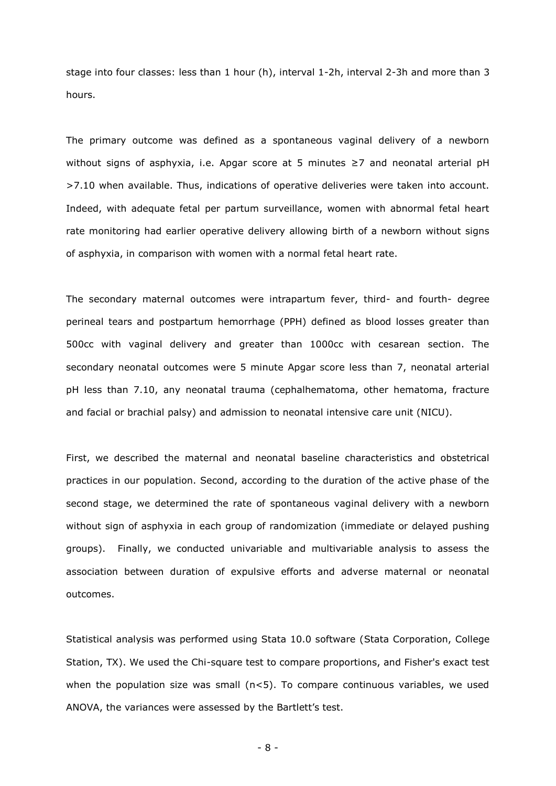stage into four classes: less than 1 hour (h), interval 1-2h, interval 2-3h and more than 3 hours.

The primary outcome was defined as a spontaneous vaginal delivery of a newborn without signs of asphyxia, i.e. Apgar score at 5 minutes ≥7 and neonatal arterial pH >7.10 when available. Thus, indications of operative deliveries were taken into account. Indeed, with adequate fetal per partum surveillance, women with abnormal fetal heart rate monitoring had earlier operative delivery allowing birth of a newborn without signs of asphyxia, in comparison with women with a normal fetal heart rate.

The secondary maternal outcomes were intrapartum fever, third- and fourth- degree perineal tears and postpartum hemorrhage (PPH) defined as blood losses greater than 500cc with vaginal delivery and greater than 1000cc with cesarean section. The secondary neonatal outcomes were 5 minute Apgar score less than 7, neonatal arterial pH less than 7.10, any neonatal trauma (cephalhematoma, other hematoma, fracture and facial or brachial palsy) and admission to neonatal intensive care unit (NICU).

First, we described the maternal and neonatal baseline characteristics and obstetrical practices in our population. Second, according to the duration of the active phase of the second stage, we determined the rate of spontaneous vaginal delivery with a newborn without sign of asphyxia in each group of randomization (immediate or delayed pushing groups). Finally, we conducted univariable and multivariable analysis to assess the association between duration of expulsive efforts and adverse maternal or neonatal outcomes.

Statistical analysis was performed using Stata 10.0 software (Stata Corporation, College Station, TX). We used the Chi-square test to compare proportions, and Fisher's exact test when the population size was small  $(n<5)$ . To compare continuous variables, we used ANOVA, the variances were assessed by the Bartlett"s test.

- 8 -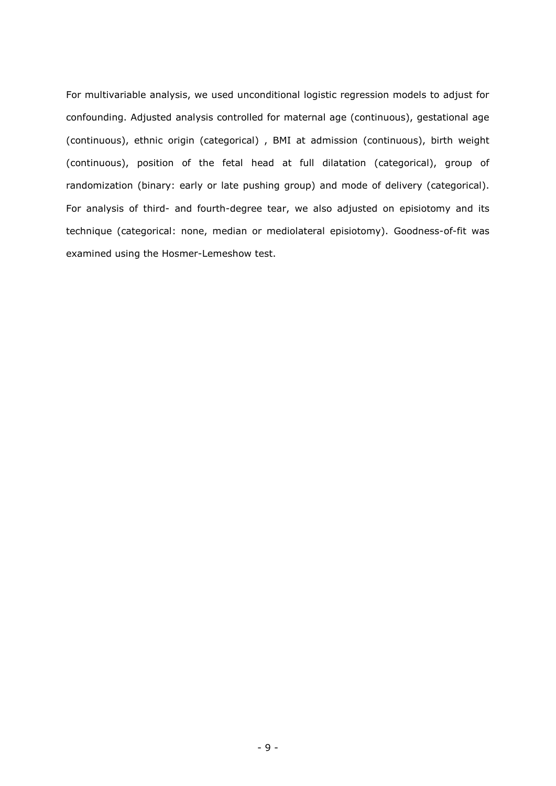For multivariable analysis, we used unconditional logistic regression models to adjust for confounding. Adjusted analysis controlled for maternal age (continuous), gestational age (continuous), ethnic origin (categorical) , BMI at admission (continuous), birth weight (continuous), position of the fetal head at full dilatation (categorical), group of randomization (binary: early or late pushing group) and mode of delivery (categorical). For analysis of third- and fourth-degree tear, we also adjusted on episiotomy and its technique (categorical: none, median or mediolateral episiotomy). Goodness-of-fit was examined using the Hosmer-Lemeshow test.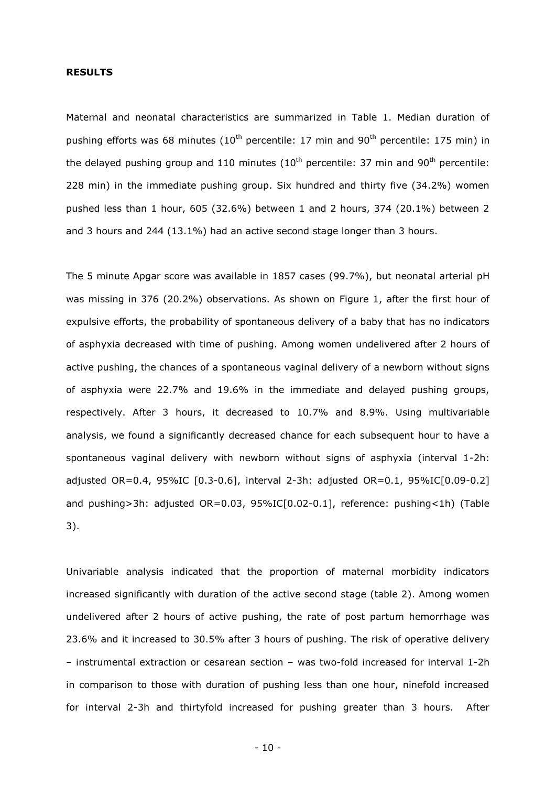### **RESULTS**

Maternal and neonatal characteristics are summarized in Table 1. Median duration of pushing efforts was 68 minutes ( $10<sup>th</sup>$  percentile:  $17$  min and  $90<sup>th</sup>$  percentile:  $175$  min) in the delayed pushing group and 110 minutes  $(10<sup>th</sup>$  percentile: 37 min and 90<sup>th</sup> percentile: 228 min) in the immediate pushing group. Six hundred and thirty five (34.2%) women pushed less than 1 hour, 605 (32.6%) between 1 and 2 hours, 374 (20.1%) between 2 and 3 hours and 244 (13.1%) had an active second stage longer than 3 hours.

The 5 minute Apgar score was available in 1857 cases (99.7%), but neonatal arterial pH was missing in 376 (20.2%) observations. As shown on Figure 1, after the first hour of expulsive efforts, the probability of spontaneous delivery of a baby that has no indicators of asphyxia decreased with time of pushing. Among women undelivered after 2 hours of active pushing, the chances of a spontaneous vaginal delivery of a newborn without signs of asphyxia were 22.7% and 19.6% in the immediate and delayed pushing groups, respectively. After 3 hours, it decreased to 10.7% and 8.9%. Using multivariable analysis, we found a significantly decreased chance for each subsequent hour to have a spontaneous vaginal delivery with newborn without signs of asphyxia (interval 1-2h: adjusted OR=0.4, 95%IC [0.3-0.6], interval 2-3h: adjusted OR=0.1, 95%IC[0.09-0.2] and pushing>3h: adjusted OR=0.03, 95%IC[0.02-0.1], reference: pushing<1h) (Table 3).

Univariable analysis indicated that the proportion of maternal morbidity indicators increased significantly with duration of the active second stage (table 2). Among women undelivered after 2 hours of active pushing, the rate of post partum hemorrhage was 23.6% and it increased to 30.5% after 3 hours of pushing. The risk of operative delivery – instrumental extraction or cesarean section – was two-fold increased for interval 1-2h in comparison to those with duration of pushing less than one hour, ninefold increased for interval 2-3h and thirtyfold increased for pushing greater than 3 hours. After

- 10 -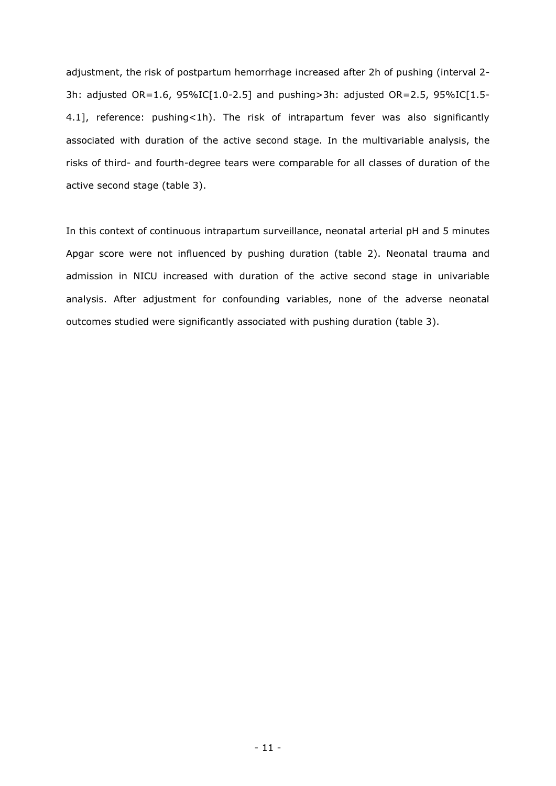adjustment, the risk of postpartum hemorrhage increased after 2h of pushing (interval 2- 3h: adjusted OR=1.6, 95%IC[1.0-2.5] and pushing>3h: adjusted OR=2.5, 95%IC[1.5- 4.1], reference: pushing<1h). The risk of intrapartum fever was also significantly associated with duration of the active second stage. In the multivariable analysis, the risks of third- and fourth-degree tears were comparable for all classes of duration of the active second stage (table 3).

In this context of continuous intrapartum surveillance, neonatal arterial pH and 5 minutes Apgar score were not influenced by pushing duration (table 2). Neonatal trauma and admission in NICU increased with duration of the active second stage in univariable analysis. After adjustment for confounding variables, none of the adverse neonatal outcomes studied were significantly associated with pushing duration (table 3).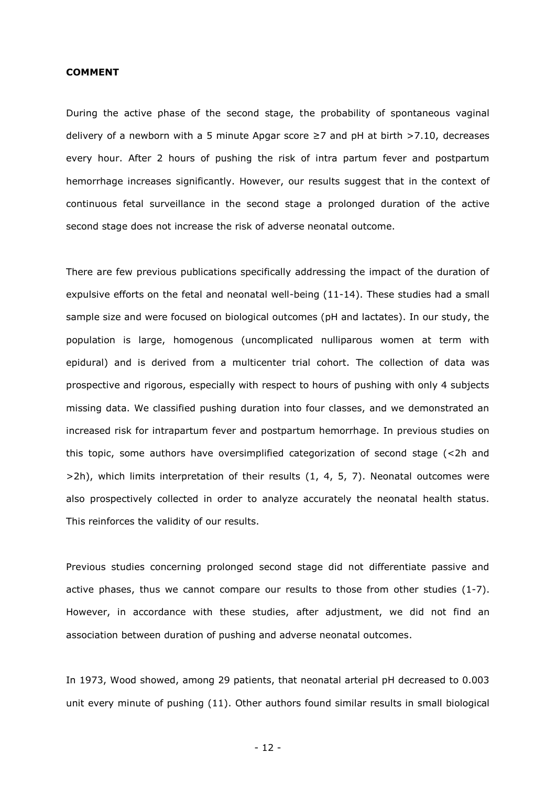#### **COMMENT**

During the active phase of the second stage, the probability of spontaneous vaginal delivery of a newborn with a 5 minute Apgar score  $\geq 7$  and pH at birth  $> 7.10$ , decreases every hour. After 2 hours of pushing the risk of intra partum fever and postpartum hemorrhage increases significantly. However, our results suggest that in the context of continuous fetal surveillance in the second stage a prolonged duration of the active second stage does not increase the risk of adverse neonatal outcome.

There are few previous publications specifically addressing the impact of the duration of expulsive efforts on the fetal and neonatal well-being (11-14). These studies had a small sample size and were focused on biological outcomes (pH and lactates). In our study, the population is large, homogenous (uncomplicated nulliparous women at term with epidural) and is derived from a multicenter trial cohort. The collection of data was prospective and rigorous, especially with respect to hours of pushing with only 4 subjects missing data. We classified pushing duration into four classes, and we demonstrated an increased risk for intrapartum fever and postpartum hemorrhage. In previous studies on this topic, some authors have oversimplified categorization of second stage (<2h and  $>2h$ ), which limits interpretation of their results  $(1, 4, 5, 7)$ . Neonatal outcomes were also prospectively collected in order to analyze accurately the neonatal health status. This reinforces the validity of our results.

Previous studies concerning prolonged second stage did not differentiate passive and active phases, thus we cannot compare our results to those from other studies (1-7). However, in accordance with these studies, after adjustment, we did not find an association between duration of pushing and adverse neonatal outcomes.

In 1973, Wood showed, among 29 patients, that neonatal arterial pH decreased to 0.003 unit every minute of pushing (11). Other authors found similar results in small biological

- 12 -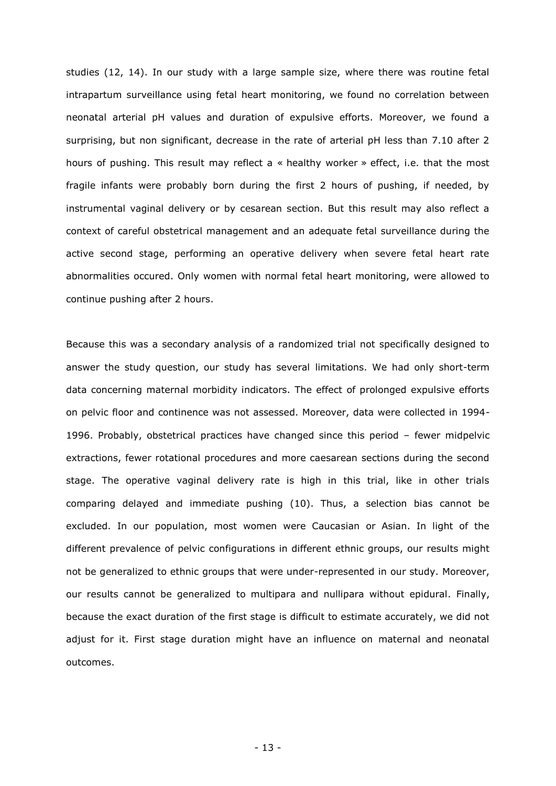studies (12, 14). In our study with a large sample size, where there was routine fetal intrapartum surveillance using fetal heart monitoring, we found no correlation between neonatal arterial pH values and duration of expulsive efforts. Moreover, we found a surprising, but non significant, decrease in the rate of arterial pH less than 7.10 after 2 hours of pushing. This result may reflect a « healthy worker » effect, i.e. that the most fragile infants were probably born during the first 2 hours of pushing, if needed, by instrumental vaginal delivery or by cesarean section. But this result may also reflect a context of careful obstetrical management and an adequate fetal surveillance during the active second stage, performing an operative delivery when severe fetal heart rate abnormalities occured. Only women with normal fetal heart monitoring, were allowed to continue pushing after 2 hours.

Because this was a secondary analysis of a randomized trial not specifically designed to answer the study question, our study has several limitations. We had only short-term data concerning maternal morbidity indicators. The effect of prolonged expulsive efforts on pelvic floor and continence was not assessed. Moreover, data were collected in 1994- 1996. Probably, obstetrical practices have changed since this period – fewer midpelvic extractions, fewer rotational procedures and more caesarean sections during the second stage. The operative vaginal delivery rate is high in this trial, like in other trials comparing delayed and immediate pushing (10). Thus, a selection bias cannot be excluded. In our population, most women were Caucasian or Asian. In light of the different prevalence of pelvic configurations in different ethnic groups, our results might not be generalized to ethnic groups that were under-represented in our study. Moreover, our results cannot be generalized to multipara and nullipara without epidural. Finally, because the exact duration of the first stage is difficult to estimate accurately, we did not adjust for it. First stage duration might have an influence on maternal and neonatal outcomes.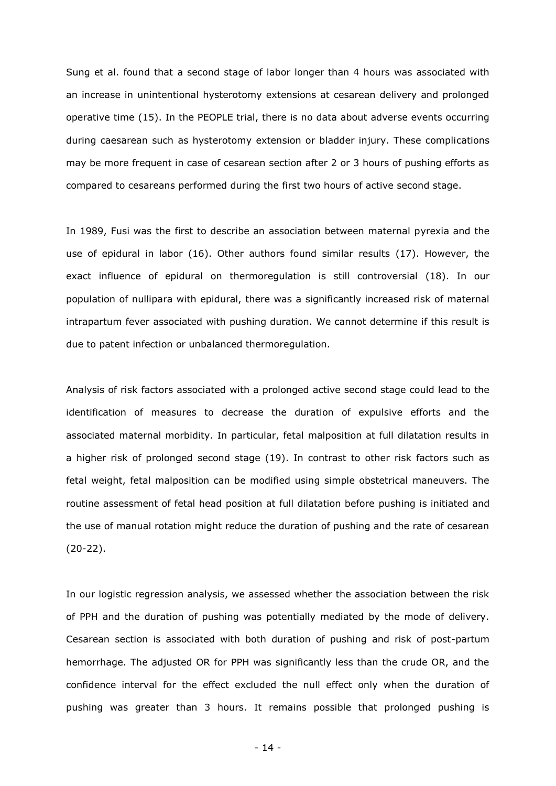Sung et al. found that a second stage of labor longer than 4 hours was associated with an increase in unintentional hysterotomy extensions at cesarean delivery and prolonged operative time (15). In the PEOPLE trial, there is no data about adverse events occurring during caesarean such as hysterotomy extension or bladder injury. These complications may be more frequent in case of cesarean section after 2 or 3 hours of pushing efforts as compared to cesareans performed during the first two hours of active second stage.

In 1989, Fusi was the first to describe an association between maternal pyrexia and the use of epidural in labor (16). Other authors found similar results (17). However, the exact influence of epidural on thermoregulation is still controversial (18). In our population of nullipara with epidural, there was a significantly increased risk of maternal intrapartum fever associated with pushing duration. We cannot determine if this result is due to patent infection or unbalanced thermoregulation.

Analysis of risk factors associated with a prolonged active second stage could lead to the identification of measures to decrease the duration of expulsive efforts and the associated maternal morbidity. In particular, fetal malposition at full dilatation results in a higher risk of prolonged second stage (19). In contrast to other risk factors such as fetal weight, fetal malposition can be modified using simple obstetrical maneuvers. The routine assessment of fetal head position at full dilatation before pushing is initiated and the use of manual rotation might reduce the duration of pushing and the rate of cesarean (20-22).

In our logistic regression analysis, we assessed whether the association between the risk of PPH and the duration of pushing was potentially mediated by the mode of delivery. Cesarean section is associated with both duration of pushing and risk of post-partum hemorrhage. The adjusted OR for PPH was significantly less than the crude OR, and the confidence interval for the effect excluded the null effect only when the duration of pushing was greater than 3 hours. It remains possible that prolonged pushing is

- 14 -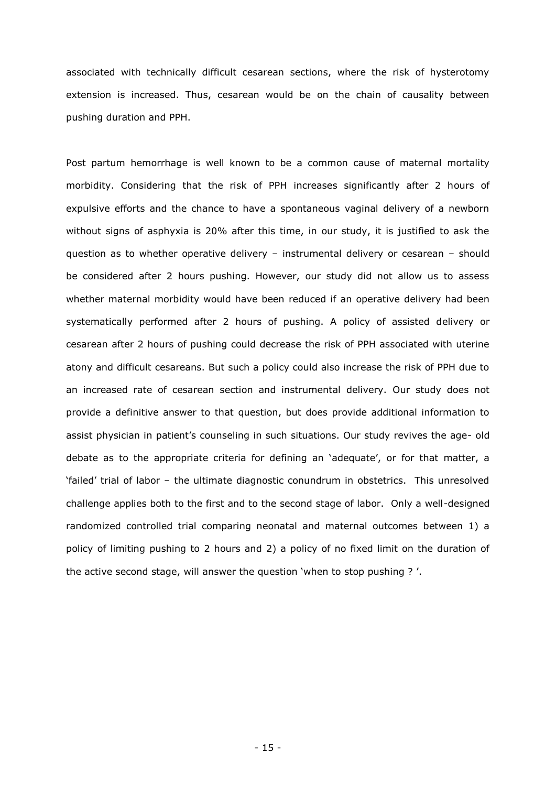associated with technically difficult cesarean sections, where the risk of hysterotomy extension is increased. Thus, cesarean would be on the chain of causality between pushing duration and PPH.

Post partum hemorrhage is well known to be a common cause of maternal mortality morbidity. Considering that the risk of PPH increases significantly after 2 hours of expulsive efforts and the chance to have a spontaneous vaginal delivery of a newborn without signs of asphyxia is 20% after this time, in our study, it is justified to ask the question as to whether operative delivery – instrumental delivery or cesarean – should be considered after 2 hours pushing. However, our study did not allow us to assess whether maternal morbidity would have been reduced if an operative delivery had been systematically performed after 2 hours of pushing. A policy of assisted delivery or cesarean after 2 hours of pushing could decrease the risk of PPH associated with uterine atony and difficult cesareans. But such a policy could also increase the risk of PPH due to an increased rate of cesarean section and instrumental delivery. Our study does not provide a definitive answer to that question, but does provide additional information to assist physician in patient's counseling in such situations. Our study revives the age- old debate as to the appropriate criteria for defining an 'adequate', or for that matter, a "failed" trial of labor – the ultimate diagnostic conundrum in obstetrics. This unresolved challenge applies both to the first and to the second stage of labor. Only a well-designed randomized controlled trial comparing neonatal and maternal outcomes between 1) a policy of limiting pushing to 2 hours and 2) a policy of no fixed limit on the duration of the active second stage, will answer the question 'when to stop pushing ?'.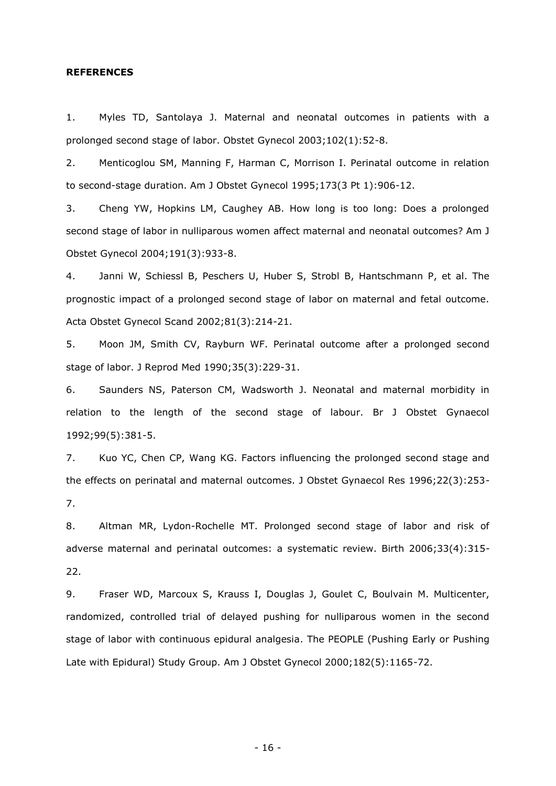#### **REFERENCES**

1. Myles TD, Santolaya J. Maternal and neonatal outcomes in patients with a prolonged second stage of labor. Obstet Gynecol 2003;102(1):52-8.

2. Menticoglou SM, Manning F, Harman C, Morrison I. Perinatal outcome in relation to second-stage duration. Am J Obstet Gynecol 1995;173(3 Pt 1):906-12.

3. Cheng YW, Hopkins LM, Caughey AB. How long is too long: Does a prolonged second stage of labor in nulliparous women affect maternal and neonatal outcomes? Am J Obstet Gynecol 2004;191(3):933-8.

4. Janni W, Schiessl B, Peschers U, Huber S, Strobl B, Hantschmann P, et al. The prognostic impact of a prolonged second stage of labor on maternal and fetal outcome. Acta Obstet Gynecol Scand 2002;81(3):214-21.

5. Moon JM, Smith CV, Rayburn WF. Perinatal outcome after a prolonged second stage of labor. J Reprod Med 1990;35(3):229-31.

6. Saunders NS, Paterson CM, Wadsworth J. Neonatal and maternal morbidity in relation to the length of the second stage of labour. Br J Obstet Gynaecol 1992;99(5):381-5.

7. Kuo YC, Chen CP, Wang KG. Factors influencing the prolonged second stage and the effects on perinatal and maternal outcomes. J Obstet Gynaecol Res 1996;22(3):253- 7.

8. Altman MR, Lydon-Rochelle MT. Prolonged second stage of labor and risk of adverse maternal and perinatal outcomes: a systematic review. Birth 2006;33(4):315- 22.

9. Fraser WD, Marcoux S, Krauss I, Douglas J, Goulet C, Boulvain M. Multicenter, randomized, controlled trial of delayed pushing for nulliparous women in the second stage of labor with continuous epidural analgesia. The PEOPLE (Pushing Early or Pushing Late with Epidural) Study Group. Am J Obstet Gynecol 2000;182(5):1165-72.

- 16 -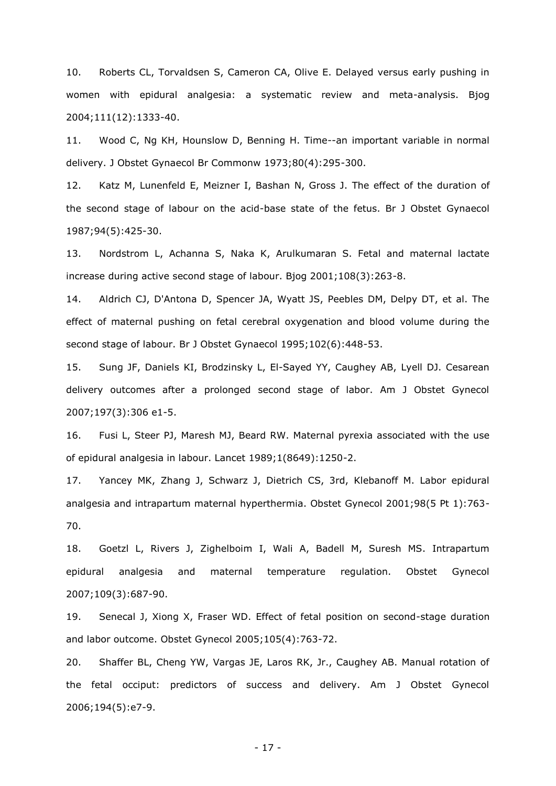10. Roberts CL, Torvaldsen S, Cameron CA, Olive E. Delayed versus early pushing in women with epidural analgesia: a systematic review and meta-analysis. Bjog 2004;111(12):1333-40.

11. Wood C, Ng KH, Hounslow D, Benning H. Time--an important variable in normal delivery. J Obstet Gynaecol Br Commonw 1973;80(4):295-300.

12. Katz M, Lunenfeld E, Meizner I, Bashan N, Gross J. The effect of the duration of the second stage of labour on the acid-base state of the fetus. Br J Obstet Gynaecol 1987;94(5):425-30.

13. Nordstrom L, Achanna S, Naka K, Arulkumaran S. Fetal and maternal lactate increase during active second stage of labour. Bjog 2001;108(3):263-8.

14. Aldrich CJ, D'Antona D, Spencer JA, Wyatt JS, Peebles DM, Delpy DT, et al. The effect of maternal pushing on fetal cerebral oxygenation and blood volume during the second stage of labour. Br J Obstet Gynaecol 1995;102(6):448-53.

15. Sung JF, Daniels KI, Brodzinsky L, El-Sayed YY, Caughey AB, Lyell DJ. Cesarean delivery outcomes after a prolonged second stage of labor. Am J Obstet Gynecol 2007;197(3):306 e1-5.

16. Fusi L, Steer PJ, Maresh MJ, Beard RW. Maternal pyrexia associated with the use of epidural analgesia in labour. Lancet 1989;1(8649):1250-2.

17. Yancey MK, Zhang J, Schwarz J, Dietrich CS, 3rd, Klebanoff M. Labor epidural analgesia and intrapartum maternal hyperthermia. Obstet Gynecol 2001;98(5 Pt 1):763- 70.

18. Goetzl L, Rivers J, Zighelboim I, Wali A, Badell M, Suresh MS. Intrapartum epidural analgesia and maternal temperature regulation. Obstet Gynecol 2007;109(3):687-90.

19. Senecal J, Xiong X, Fraser WD. Effect of fetal position on second-stage duration and labor outcome. Obstet Gynecol 2005;105(4):763-72.

20. Shaffer BL, Cheng YW, Vargas JE, Laros RK, Jr., Caughey AB. Manual rotation of the fetal occiput: predictors of success and delivery. Am J Obstet Gynecol 2006;194(5):e7-9.

- 17 -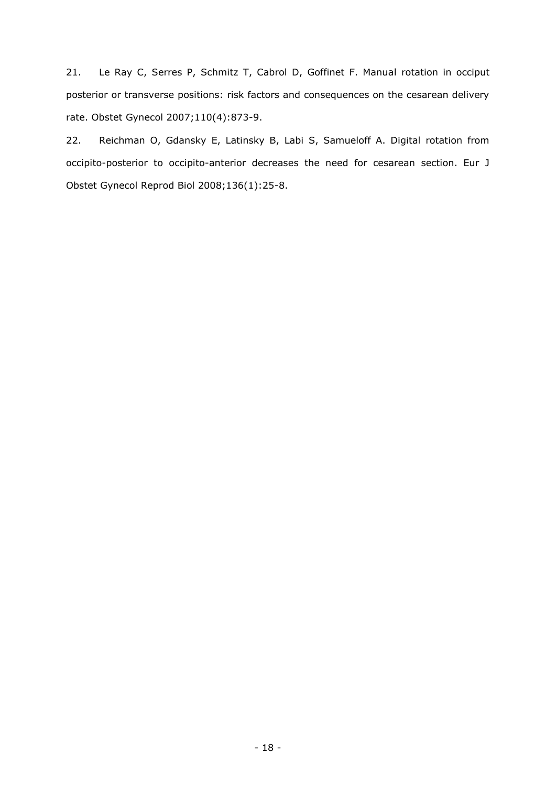21. Le Ray C, Serres P, Schmitz T, Cabrol D, Goffinet F. Manual rotation in occiput posterior or transverse positions: risk factors and consequences on the cesarean delivery rate. Obstet Gynecol 2007;110(4):873-9.

22. Reichman O, Gdansky E, Latinsky B, Labi S, Samueloff A. Digital rotation from occipito-posterior to occipito-anterior decreases the need for cesarean section. Eur J Obstet Gynecol Reprod Biol 2008;136(1):25-8.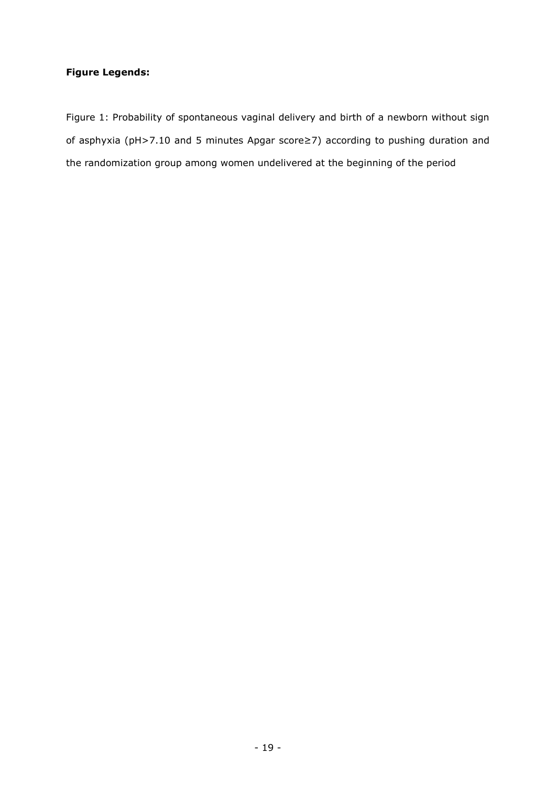## **Figure Legends:**

Figure 1: Probability of spontaneous vaginal delivery and birth of a newborn without sign of asphyxia (pH>7.10 and 5 minutes Apgar score≥7) according to pushing duration and the randomization group among women undelivered at the beginning of the period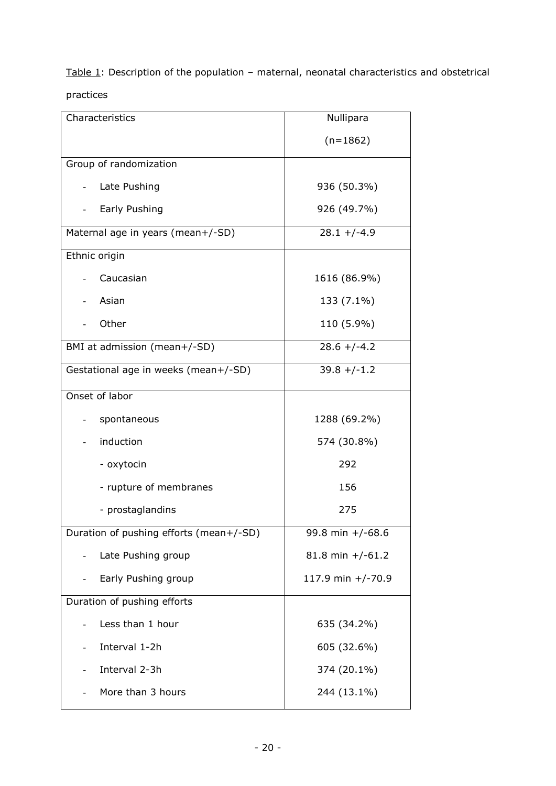Table  $1$ : Description of the population – maternal, neonatal characteristics and obstetrical practices

| Characteristics                         | Nullipara         |
|-----------------------------------------|-------------------|
|                                         | $(n=1862)$        |
| Group of randomization                  |                   |
| Late Pushing                            | 936 (50.3%)       |
| Early Pushing                           | 926 (49.7%)       |
| Maternal age in years (mean+/-SD)       | $28.1 + (-4.9)$   |
| Ethnic origin                           |                   |
| Caucasian                               | 1616 (86.9%)      |
| Asian<br>$\overline{\phantom{a}}$       | 133 (7.1%)        |
| Other                                   | 110 (5.9%)        |
| BMI at admission (mean+/-SD)            | $28.6 + (-4.2)$   |
| Gestational age in weeks (mean+/-SD)    | $39.8 + (-1.2)$   |
| Onset of labor                          |                   |
| spontaneous                             | 1288 (69.2%)      |
| induction                               | 574 (30.8%)       |
| - oxytocin                              | 292               |
| - rupture of membranes                  | 156               |
| - prostaglandins                        | 275               |
| Duration of pushing efforts (mean+/-SD) | 99.8 min +/-68.6  |
| Late Pushing group                      | 81.8 min +/-61.2  |
| Early Pushing group                     | 117.9 min +/-70.9 |
| Duration of pushing efforts             |                   |
| Less than 1 hour                        | 635 (34.2%)       |
| Interval 1-2h                           | 605 (32.6%)       |
| Interval 2-3h                           | 374 (20.1%)       |
| More than 3 hours                       | 244 (13.1%)       |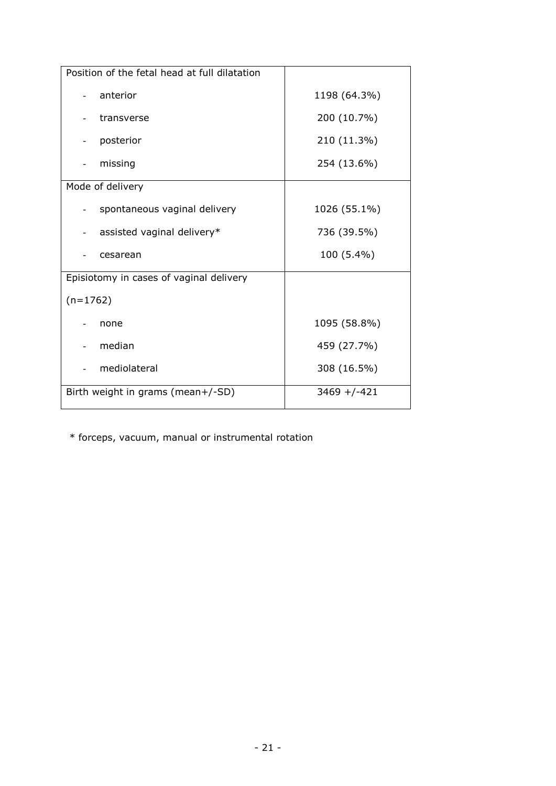| Position of the fetal head at full dilatation |                 |
|-----------------------------------------------|-----------------|
| anterior                                      | 1198 (64.3%)    |
| transverse                                    | 200 (10.7%)     |
| posterior                                     | 210 (11.3%)     |
| missing                                       | 254 (13.6%)     |
| Mode of delivery                              |                 |
| spontaneous vaginal delivery                  | 1026 (55.1%)    |
| assisted vaginal delivery*                    | 736 (39.5%)     |
| cesarean                                      | 100 (5.4%)      |
| Episiotomy in cases of vaginal delivery       |                 |
| $(n=1762)$                                    |                 |
| none                                          | 1095 (58.8%)    |
| median                                        | 459 (27.7%)     |
| mediolateral                                  | 308 (16.5%)     |
| Birth weight in grams (mean+/-SD)             | $3469 + (-421)$ |

\* forceps, vacuum, manual or instrumental rotation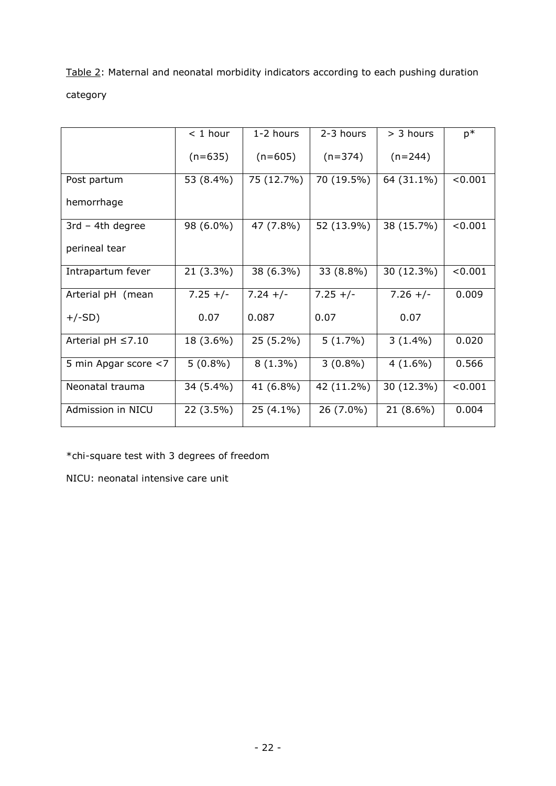Table 2: Maternal and neonatal morbidity indicators according to each pushing duration category

|                         | $<$ 1 hour | 1-2 hours   | 2-3 hours  | $>$ 3 hours | $p*$    |
|-------------------------|------------|-------------|------------|-------------|---------|
|                         | $(n=635)$  | $(n=605)$   | $(n=374)$  | $(n=244)$   |         |
| Post partum             | 53 (8.4%)  | 75 (12.7%)  | 70 (19.5%) | 64 (31.1%)  | < 0.001 |
| hemorrhage              |            |             |            |             |         |
| $3rd - 4th degree$      | 98 (6.0%)  | 47 (7.8%)   | 52 (13.9%) | 38 (15.7%)  | < 0.001 |
| perineal tear           |            |             |            |             |         |
| Intrapartum fever       | 21 (3.3%)  | 38 (6.3%)   | 33 (8.8%)  | 30 (12.3%)  | < 0.001 |
| Arterial pH (mean       | $7.25 +/-$ | $7.24 +/-$  | $7.25 +/-$ | $7.26 +/-$  | 0.009   |
| $+/-SD)$                | 0.07       | 0.087       | 0.07       | 0.07        |         |
| Arterial pH $\leq$ 7.10 | 18 (3.6%)  | $25(5.2\%)$ | $5(1.7\%)$ | $3(1.4\%)$  | 0.020   |
| 5 min Apgar score <7    | $5(0.8\%)$ | $8(1.3\%)$  | $3(0.8\%)$ | $4(1.6\%)$  | 0.566   |
| Neonatal trauma         | 34 (5.4%)  | 41 (6.8%)   | 42 (11.2%) | 30 (12.3%)  | < 0.001 |
| Admission in NICU       | 22 (3.5%)  | $25(4.1\%)$ | 26 (7.0%)  | 21 (8.6%)   | 0.004   |

\*chi-square test with 3 degrees of freedom

NICU: neonatal intensive care unit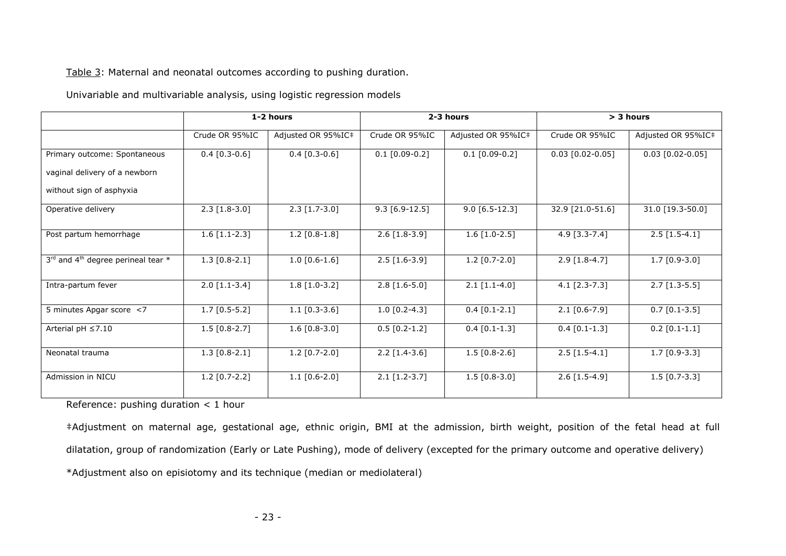### Table 3: Maternal and neonatal outcomes according to pushing duration.

#### Univariable and multivariable analysis, using logistic regression models

|                                                | 1-2 hours       |                            | 2-3 hours                   |                    | > 3 hours           |                    |
|------------------------------------------------|-----------------|----------------------------|-----------------------------|--------------------|---------------------|--------------------|
|                                                | Crude OR 95%IC  | Adjusted OR 95%IC#         | Crude OR 95%IC              | Adjusted OR 95%IC# | Crude OR 95%IC      | Adjusted OR 95%IC‡ |
| Primary outcome: Spontaneous                   | $0.4$ [0.3-0.6] | $0.4$ [0.3-0.6]            | $0.1$ [0.09-0.2]            | $0.1$ [0.09-0.2]   | $0.03$ [0.02-0.05]  | $0.03$ [0.02-0.05] |
| vaginal delivery of a newborn                  |                 |                            |                             |                    |                     |                    |
| without sign of asphyxia                       |                 |                            |                             |                    |                     |                    |
| Operative delivery                             | $2.3$ [1.8-3.0] | $\overline{2.3}$ [1.7-3.0] | $\overline{9.3}$ [6.9-12.5] | $9.0 [6.5-12.3]$   | 32.9 [21.0-51.6]    | 31.0 [19.3-50.0]   |
| Post partum hemorrhage                         | $1.6$ [1.1-2.3] | $1.2$ [0.8-1.8]            | $2.6$ [1.8-3.9]             | $1.6$ [1.0-2.5]    | $4.9$ [3.3-7.4]     | $2.5$ [1.5-4.1]    |
| $3^{rd}$ and $4^{th}$ degree perineal tear $*$ | $1.3$ [0.8-2.1] | $1.0 [0.6-1.6]$            | $2.5$ [1.6-3.9]             | $1.2$ [0.7-2.0]    | $2.9$ [1.8-4.7]     | $1.7$ [0.9-3.0]    |
| Intra-partum fever                             | $2.0$ [1.1-3.4] | $1.8$ [1.0-3.2]            | $2.8$ [1.6-5.0]             | $2.1$ [1.1-4.0]    | $4.1$ [2.3-7.3]     | $2.7$ [1.3-5.5]    |
| 5 minutes Apgar score <7                       | $1.7$ [0.5-5.2] | $1.1$ [0.3-3.6]            | $1.0$ [0.2-4.3]             | $0.4$ [0.1-2.1]    | $2.1$ $[0.6 - 7.9]$ | $0.7$ [0.1-3.5]    |
| Arterial pH $\leq$ 7.10                        | $1.5$ [0.8-2.7] | $1.6 [0.8 - 3.0]$          | $0.5$ [0.2-1.2]             | $0.4$ [0.1-1.3]    | $0.4$ [0.1-1.3]     | $0.2$ [0.1-1.1]    |
| Neonatal trauma                                | $1.3$ [0.8-2.1] | $1.2$ [0.7-2.0]            | $2.2$ [1.4-3.6]             | $1.5$ [0.8-2.6]    | $2.5$ [1.5-4.1]     | $1.7$ [0.9-3.3]    |
| Admission in NICU                              | $1.2$ [0.7-2.2] | $1.1$ [0.6-2.0]            | $2.1$ [1.2-3.7]             | $1.5 [0.8 - 3.0]$  | $2.6$ [1.5-4.9]     | $1.5$ [0.7-3.3]    |

Reference: pushing duration < 1 hour

‡Adjustment on maternal age, gestational age, ethnic origin, BMI at the admission, birth weight, position of the fetal head at full dilatation, group of randomization (Early or Late Pushing), mode of delivery (excepted for the primary outcome and operative delivery) \*Adjustment also on episiotomy and its technique (median or mediolateral)